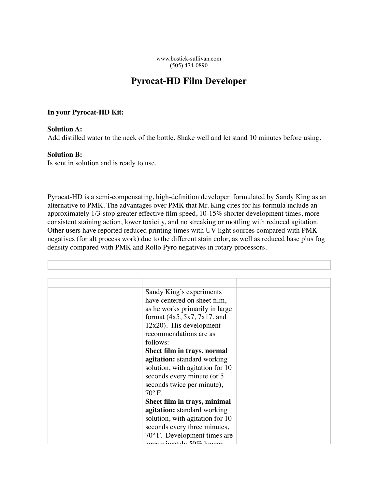www.bostick-sullivan.com (505) 474-0890

## **Pyrocat-HD Film Developer**

## **In your Pyrocat-HD Kit:**

## **Solution A:**

Add distilled water to the neck of the bottle. Shake well and let stand 10 minutes before using.

## **Solution B:**

Is sent in solution and is ready to use.

Pyrocat-HD is a semi-compensating, high-definition developer formulated by Sandy King as an alternative to PMK. The advantages over PMK that Mr. King cites for his formula include an approximately 1/3-stop greater effective film speed, 10-15% shorter development times, more consistent staining action, lower toxicity, and no streaking or mottling with reduced agitation. Other users have reported reduced printing times with UV light sources compared with PMK negatives (for alt process work) due to the different stain color, as well as reduced base plus fog density compared with PMK and Rollo Pyro negatives in rotary processors.

| Sandy King's experiments   |                                       |  |
|----------------------------|---------------------------------------|--|
|                            | have centered on sheet film,          |  |
|                            | as he works primarily in large        |  |
|                            | format $(4x5, 5x7, 7x17,$ and         |  |
| $12x20$ ). His development |                                       |  |
| recommendations are as     |                                       |  |
| follows:                   |                                       |  |
|                            |                                       |  |
|                            | Sheet film in trays, normal           |  |
|                            | <b>agitation:</b> standard working    |  |
|                            | solution, with agitation for 10       |  |
|                            | seconds every minute (or 5            |  |
|                            | seconds twice per minute),            |  |
| $70^{\circ}$ F.            |                                       |  |
|                            | Sheet film in trays, minimal          |  |
|                            | agitation: standard working           |  |
|                            | solution, with agitation for 10       |  |
|                            | seconds every three minutes,          |  |
|                            | $70^{\circ}$ F. Development times are |  |
|                            | annusvimotalv 500.1answ               |  |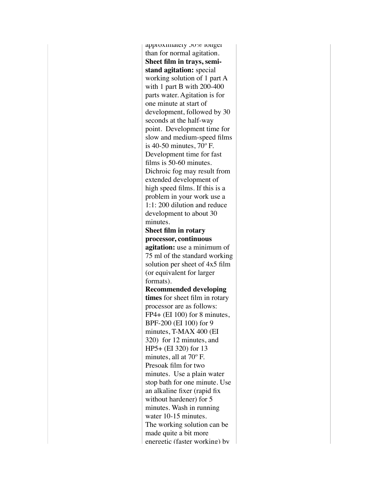approximately 50% longer than for normal agitation. **Sheet film in trays, semistand agitation:** special working solution of 1 part A with 1 part B with 200-400 parts water. Agitation is for one minute at start of development, followed by 30 seconds at the half-way point. Development time for slow and medium-speed films is 40-50 minutes, 70º F. Development time for fast films is 50-60 minutes. Dichroic fog may result from extended development of high speed films. If this is a problem in your work use a 1:1: 200 dilution and reduce development to about 30 minutes. **Sheet film in rotary processor, continuous agitation:** use a minimum of 75 ml of the standard working solution per sheet of 4x5 film (or equivalent for larger formats). **Recommended developing times** for sheet film in rotary processor are as follows: FP4+ (EI 100) for 8 minutes, BPF-200 (EI 100) for 9 minutes, T-MAX 400 (EI 320) for 12 minutes, and HP5+ (EI 320) for 13 minutes, all at 70º F. Presoak film for two minutes. Use a plain water stop bath for one minute. Use an alkaline fixer (rapid fix without hardener) for 5 minutes. Wash in running water 10-15 minutes. The working solution can be made quite a bit more energetic (faster working) by